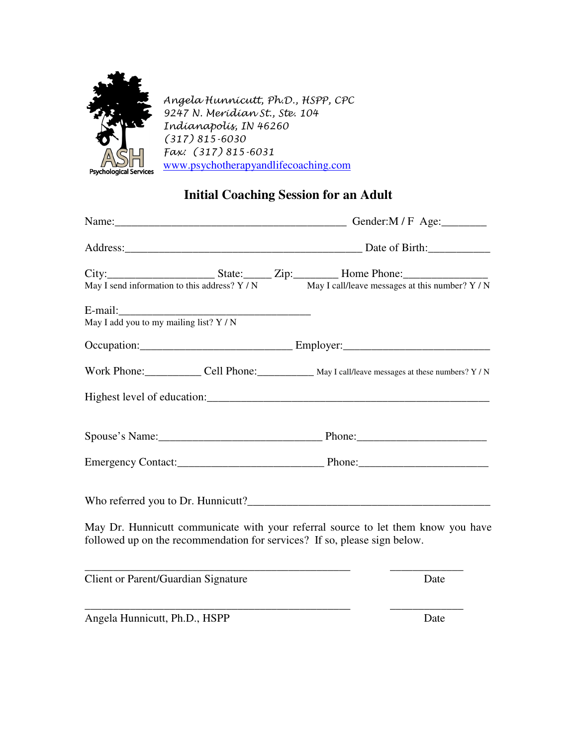

Angela Hunnicutt, Ph.D., HSPP, CPC 9247 N. Meridian St., Ste. 104 Indianapolis, IN 46260 (317) 815-6030 Fax: (317) 815-6031 www.psychotherapyandlifecoaching.com

## **Initial Coaching Session for an Adult**

| May I send information to this address? Y / N |  | City: State: Zip: Home Phone:                                             | May I call/leave messages at this number? Y / N                                                        |  |
|-----------------------------------------------|--|---------------------------------------------------------------------------|--------------------------------------------------------------------------------------------------------|--|
| May I add you to my mailing list? $Y / N$     |  |                                                                           |                                                                                                        |  |
|                                               |  |                                                                           |                                                                                                        |  |
|                                               |  |                                                                           | Work Phone: _______________ Cell Phone: ______________ May I call/leave messages at these numbers? Y/N |  |
|                                               |  |                                                                           |                                                                                                        |  |
|                                               |  |                                                                           |                                                                                                        |  |
|                                               |  |                                                                           | Emergency Contact: Phone: Phone:                                                                       |  |
|                                               |  |                                                                           |                                                                                                        |  |
|                                               |  | followed up on the recommendation for services? If so, please sign below. | May Dr. Hunnicutt communicate with your referral source to let them know you have                      |  |
| Client or Parent/Guardian Signature           |  |                                                                           | Date                                                                                                   |  |
| Angela Hunnicutt, Ph.D., HSPP                 |  |                                                                           | Date                                                                                                   |  |